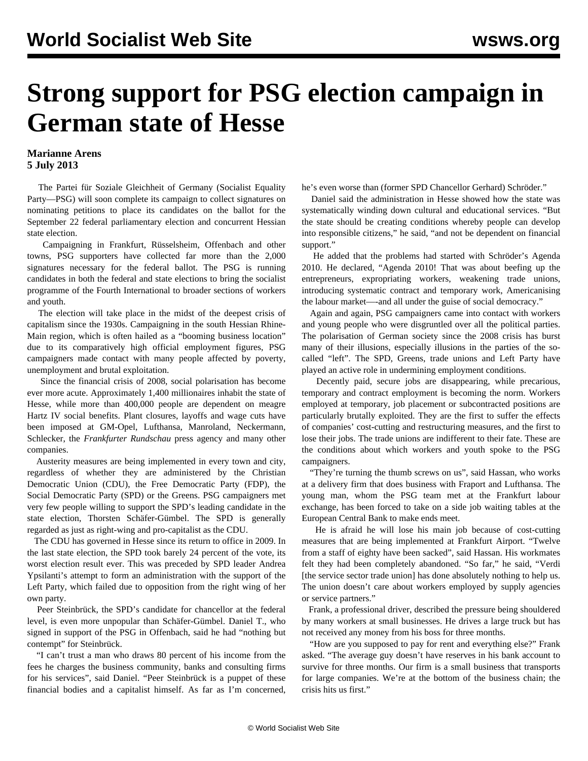## **Strong support for PSG election campaign in German state of Hesse**

## **Marianne Arens 5 July 2013**

 The Partei für Soziale Gleichheit of Germany (Socialist Equality Party—PSG) will soon complete its campaign to collect signatures on nominating petitions to place its candidates on the ballot for the September 22 federal parliamentary election and concurrent Hessian state election.

 Campaigning in Frankfurt, Rüsselsheim, Offenbach and other towns, PSG supporters have collected far more than the 2,000 signatures necessary for the federal ballot. The PSG is running candidates in both the federal and state elections to bring the socialist programme of the Fourth International to broader sections of workers and youth.

 The election will take place in the midst of the deepest crisis of capitalism since the 1930s. Campaigning in the south Hessian Rhine-Main region, which is often hailed as a "booming business location" due to its comparatively high official employment figures, PSG campaigners made contact with many people affected by poverty, unemployment and brutal exploitation.

 Since the financial crisis of 2008, social polarisation has become ever more acute. Approximately 1,400 millionaires inhabit the state of Hesse, while more than 400,000 people are dependent on meagre Hartz IV social benefits. Plant closures, layoffs and wage cuts have been imposed at GM-Opel, Lufthansa, Manroland, Neckermann, Schlecker, the *Frankfurter Rundschau* press agency and many other companies.

 Austerity measures are being implemented in every town and city, regardless of whether they are administered by the Christian Democratic Union (CDU), the Free Democratic Party (FDP), the Social Democratic Party (SPD) or the Greens. PSG campaigners met very few people willing to support the SPD's leading candidate in the state election, Thorsten Schäfer-Gümbel. The SPD is generally regarded as just as right-wing and pro-capitalist as the CDU.

 The CDU has governed in Hesse since its return to office in 2009. In the last state election, the SPD took barely 24 percent of the vote, its worst election result ever. This was preceded by SPD leader Andrea Ypsilanti's attempt to form an administration with the support of the Left Party, which failed due to opposition from the right wing of her own party.

 Peer Steinbrück, the SPD's candidate for chancellor at the federal level, is even more unpopular than Schäfer-Gümbel. Daniel T., who signed in support of the PSG in Offenbach, said he had "nothing but contempt" for Steinbrück.

 "I can't trust a man who draws 80 percent of his income from the fees he charges the business community, banks and consulting firms for his services", said Daniel. "Peer Steinbrück is a puppet of these financial bodies and a capitalist himself. As far as I'm concerned, he's even worse than (former SPD Chancellor Gerhard) Schröder."

 Daniel said the administration in Hesse showed how the state was systematically winding down cultural and educational services. "But the state should be creating conditions whereby people can develop into responsible citizens," he said, "and not be dependent on financial support."

 He added that the problems had started with Schröder's Agenda 2010. He declared, "Agenda 2010! That was about beefing up the entrepreneurs, expropriating workers, weakening trade unions, introducing systematic contract and temporary work, Americanising the labour market—-and all under the guise of social democracy."

 Again and again, PSG campaigners came into contact with workers and young people who were disgruntled over all the political parties. The polarisation of German society since the 2008 crisis has burst many of their illusions, especially illusions in the parties of the socalled "left". The SPD, Greens, trade unions and Left Party have played an active role in undermining employment conditions.

 Decently paid, secure jobs are disappearing, while precarious, temporary and contract employment is becoming the norm. Workers employed at temporary, job placement or subcontracted positions are particularly brutally exploited. They are the first to suffer the effects of companies' cost-cutting and restructuring measures, and the first to lose their jobs. The trade unions are indifferent to their fate. These are the conditions about which workers and youth spoke to the PSG campaigners.

 "They're turning the thumb screws on us", said Hassan, who works at a delivery firm that does business with Fraport and Lufthansa. The young man, whom the PSG team met at the Frankfurt labour exchange, has been forced to take on a side job waiting tables at the European Central Bank to make ends meet.

 He is afraid he will lose his main job because of cost-cutting measures that are being implemented at Frankfurt Airport. "Twelve from a staff of eighty have been sacked", said Hassan. His workmates felt they had been completely abandoned. "So far," he said, "Verdi [the service sector trade union] has done absolutely nothing to help us. The union doesn't care about workers employed by supply agencies or service partners."

 Frank, a professional driver, described the pressure being shouldered by many workers at small businesses. He drives a large truck but has not received any money from his boss for three months.

 "How are you supposed to pay for rent and everything else?" Frank asked. "The average guy doesn't have reserves in his bank account to survive for three months. Our firm is a small business that transports for large companies. We're at the bottom of the business chain; the crisis hits us first."